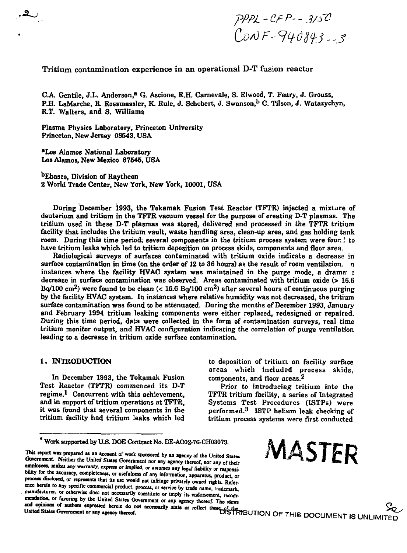*.* • *pPPl -CPP-- 3/&*   $ConvF - 940843 - 3$ 

**Tritium contamination experience in an operational D-T fusion reactor** 

**C.A. Gentile, J.L. Anderson,<sup>8</sup> G. Ascione, R.H. Carnevale, S. Elwood, T. Feury, J. Grouss, P.H. LaMarche, R. Rossmassler, K. Rule, J. Schobert, J. Swanson,<sup>b</sup> C. Tilson, J. Watazychyn, R.T. Walters, and S. Williams** 

**Plasma Physics Laboratory, Princeton University Princeton, New Jersey 08543, USA** 

**•Los Alamos National Laboratory Los Alamos, New Mexico 87545, USA** 

\*  *A ~ J*

**<sup>b</sup>Ebasco, Division of Raytheon 2 World Trade Center, New York, New York, 10001, USA** 

**During December 1993, the Tokamak Fusion Test Reactor (TFTR) injected a mixture of deuterium and tritium in the TFTR vacuum vessel for the purpose of creating D-T plasmas. The tritium used in these D-T plasmas was stored, delivered and processed in the TFTR tritium facility that includes the tritium vault, waste handling area, clean-up area, and gas holding tank room. During this time period, several components in the tritium process system were foun** *i* **to have tritium leaks which led to tritium deposition on process skids, components and floor area.** 

**Radiological surveys of surfaces contaminated with tritium oxide indicate a decrease in**  surface contamination in time (on the order of 12 to 36 hours) as the result of room ventilation. The **instances where the facility HVAC system was maintained in the purge mode, a drama c decrease in surface contamination was observed. Areas contaminated with tritium oxide (> 16.6 Bq/100 cm<sup>2</sup> ) were found to be clean (< 16.6 Bq/100 cm<sup>2</sup> ) after several hours of continuous purging by the facility HVAC system. In instances where relative humidity was not decreased, the tritium surface contamination was found to be attenuated. During the months of December 1993, January and February 1994 tritium leaking components were either replaced, redesigned or repaired. During this time period, data were collected in the form of contamination surveys, real time tritium monitor output, and HVAC configuration indicating the correlation of purge ventilation leading to a decrease in tritium oxide surface contamination.** 

**In December 1993, the Tokamak Fusion components, and floor areas.<sup>2</sup>** regime.<sup>1</sup> Concurrent with this achievement, and in support of tritium operations at TFTR. it was found that several components in the tritium facility had tritium leaks which led

This report was prepared as an account of work sponsored by an agency of the United States Government. Neither the United States Government nor any agency thereof, nor any of their  $\frac{1}{2}$   $\frac{1}{2}$   $\frac{1}{2}$   $\frac{1}{2}$   $\frac{1}{2}$   $\frac{1}{2}$   $\frac{1}{2}$   $\frac{1}{2}$   $\frac{1}{2}$   $\frac{1}{2}$   $\frac{1}{2}$   $\frac{1}{2}$   $\frac{1}{2}$   $\frac{1}{2}$   $\frac{1}{2}$   $\frac{1}{2}$   $\frac{1}{2}$   $\frac{1}{2}$   $\frac{1}{2}$   $\frac{1}{2}$   $\frac{1}{2}$   $\frac{1}{2}$   $\$ bility for the accuracy, completeness, or usefulness of any information, apparatus, product, or **process disclosed, or represents that its use would not infringe privately owned rights. Reference herein to any specific commercial product, process, or service by trade name, trademark, manufacturer, or otherwise does not necessarily constitute or imply its endorsement, recom**members, or ravoring by the United States Government or any agency thereof. The views<br>and opinions of authors expressed herein do not necessarily state or reflect those of the<br>United States Government or any agency thereof

**1. INTRODUCTION** to deposition of tritium on facility surface **areas which included process skids,** 

> Prior to introducing tritium into the **TFTR** tritium facility, a series of Integrated Systems Test Procedures (ISTPs) were  **ISTP helium leak checking of**  tritium process systems were first conducted

**\*** Work supported by U.S. DOE Contract No. DE-AC02-76-CH03073.<br>eport was prepared as an account of work sponsored by an agency of the United States  $MASTER$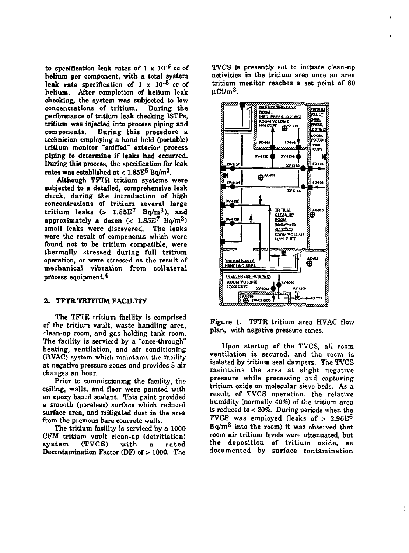**to specification leak rates of 1 x 10"<sup>6</sup> cc of helium per component, with a total system**  leak rate specification of 1 x 10<sup>-5</sup> cc of **helium. After completion of helium leak checking, the system was subjected to low**  concentrations of tritium. **performance of tritium leak checking ISTFs, tritium was injected into process piping and components. During this procedure a technician employing a hand held (portable) tritium monitor "sniffed" exterior process piping to determine if leaks had occurred. During this process, the specification for leak rates was established at < 1.85E<sup>5</sup> Bq/m<sup>3</sup> .** 

**Although TFTR tritium systems were subjected to a detailed, comprehensive leak check, during the introduction of high concentrations of tritium several large tritium leaks (> 1.85E<sup>7</sup> Bq/m<sup>3</sup> ), and approximately a dozen (< 1.85E<sup>7</sup> Bq/m<sup>3</sup> ) small leaks were discovered. The leaks were the result of components which were found not to be tritium compatible, were thermally stressed during full tritium operation, or were stressed as the result of mechanical vibration from collateral process equipment.<sup>4</sup>**

## **2. TFTR TRITIUM FACILITY**

**The TFTR tritium facility is comprised of the tritium vault, waste handling area, • lean-up room, and gas holding tank room. The facility is serviced by a "once-through" heating, ventilation, and air conditioning (HVAC) system which maintains the facility at negative pressure zones and provides 8 air changes an hour.** 

**Prior to commissioning the facility, the ceiling, walls, and floor were painted with an epoxy based sealant. This paint provided a smooth (poreless) surface which reduced surface area, and mitigated dust in the area from the previous bare concrete walls.** 

**The tritium facility is serviced by a 1000 CFM tritium vault clean-up (detritiation) system (TVCS) with a rated Decontamination Factor (DF) of > 1000. The** 

**TVCS is presently set to initiate clean-up activities in the tritium area once an area tritium monitor reaches a set point of 80 |iCi/m<sup>3</sup> .** 



**Figure 1. TFTR tritium area HVAC flow plan, with negative pressure zones.** 

**Upon startup of the TVCS, all room ventilation is secured, and the room is isolated by tritium seal dampers. The TVCS maintains the area at slight negative pressure while processing and capturing tritium oxide on molecular sieve beds. As a result of TVCS operation, the relative humidity (normally 40%) of the tritium area is reduced to** *<* **20%. During periods when the TVCS was employed (leaks of > 2.96E<sup>6</sup> Bq/m<sup>3</sup> into the room) it was observed that room air tritium levels were attenuated, but the deposition of tritium oxide, as documented by surface contamination**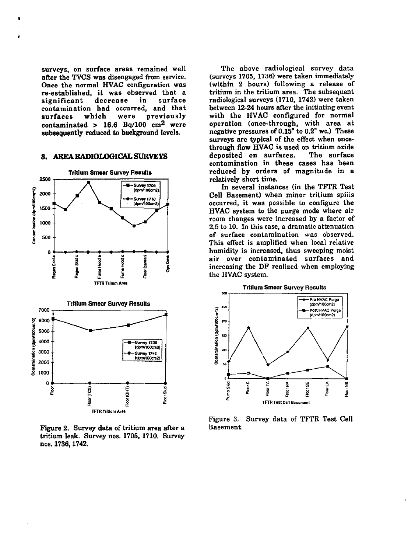surveys, on surface areas remained well after the TVCS was disengaged from service. Once the normal HVAC configuration was re-established, it was observed that a significant decrease in surface contamination had occurred, and that surfaces which were previously contaminated > 16.6 Bq/100  $\text{cm}^2$  were **subsequently reduced** to background levels.

## **3. AREA RADIOLOGICAL SURVEYS**



Figure 2. Survey data of tritium area after a tritium leak. Survey nos. 1705, 1710. Survey nos. 1736,1742.

The above radiological survey data (surveys 1705, 1736) were taken immediately (within 2 hours) following a release of tritium in the tritium area. The subsequent radiological surveys (1710, 1742) were taken between 12-24 hours after the initiating event with the HVAC configured for normal operation (once-through, with area at negative pressures of 0.15" to 0.2" wc.) These surveys are typical of the effect when oncethrough flow HVAC is used on tritium oxide deposited on surfaces. The surface contamination in these cases has been reduced by orders of magnitude in a relatively short time.

In several instances (in the TFTR Test Cell Basement) when minor tritium spills occurred, it was possible to configure the HVAC system to the purge mode where air room changes were increased by a factor of 2.5 to 10. In this case, a dramatic attenuation of surface contamination was observed. This effect is amplified when local relative humidity is increased, thus sweeping moist air over contaminated surfaces and increasing the DF realized when employing the HVAC system.



Figure 3. Survey data of TFTR Test Cell Basement.